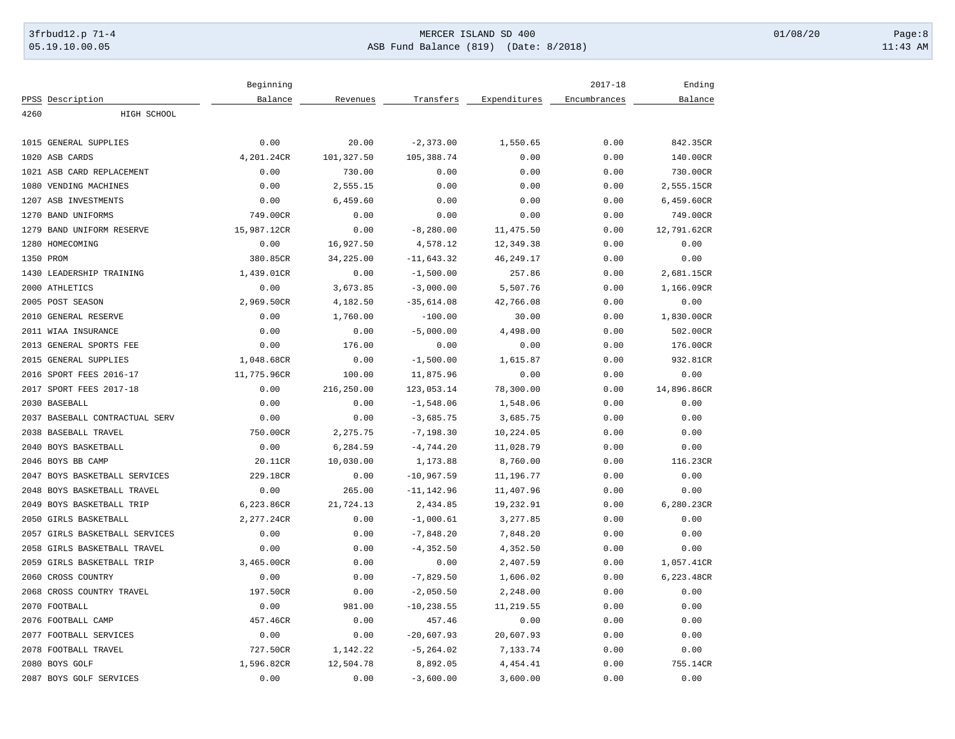# 3frbud12.p 71-4 **Details and the CER ISLAND SD 400** MERCER ISLAND SD 400 01/08/20 Page:8 05.19.10.00.05 ASB Fund Balance (819) (Date: 8/2018) 11:43 AM

|           |                                | Beginning   |            |               |              | $2017 - 18$  | Ending      |
|-----------|--------------------------------|-------------|------------|---------------|--------------|--------------|-------------|
|           | PPSS Description               | Balance     | Revenues   | Transfers     | Expenditures | Encumbrances | Balance     |
| 4260      | HIGH SCHOOL                    |             |            |               |              |              |             |
|           | 1015 GENERAL SUPPLIES          | 0.00        | 20.00      | $-2,373.00$   | 1,550.65     | 0.00         | 842.35CR    |
|           | 1020 ASB CARDS                 | 4,201.24CR  | 101,327.50 | 105,388.74    | 0.00         | 0.00         | 140.00CR    |
|           | 1021 ASB CARD REPLACEMENT      | 0.00        | 730.00     | 0.00          | 0.00         | 0.00         | 730.00CR    |
|           | 1080 VENDING MACHINES          | 0.00        | 2,555.15   | 0.00          | 0.00         | 0.00         | 2,555.15CR  |
|           | 1207 ASB INVESTMENTS           | 0.00        | 6,459.60   | 0.00          | 0.00         | 0.00         | 6,459.60CR  |
|           | 1270 BAND UNIFORMS             | 749.00CR    | 0.00       | 0.00          | 0.00         | 0.00         | 749.00CR    |
| 1279      | BAND UNIFORM RESERVE           | 15,987.12CR | 0.00       | $-8, 280.00$  | 11,475.50    | 0.00         | 12,791.62CR |
|           | 1280 HOMECOMING                | 0.00        | 16,927.50  | 4,578.12      | 12,349.38    | 0.00         | 0.00        |
| 1350 PROM |                                | 380.85CR    | 34,225.00  | $-11,643.32$  | 46, 249. 17  | 0.00         | 0.00        |
|           | 1430 LEADERSHIP TRAINING       | 1,439.01CR  | 0.00       | $-1,500.00$   | 257.86       | 0.00         | 2,681.15CR  |
|           | 2000 ATHLETICS                 | 0.00        | 3,673.85   | $-3,000.00$   | 5,507.76     | 0.00         | 1,166.09CR  |
|           | 2005 POST SEASON               | 2,969.50CR  | 4,182.50   | $-35,614.08$  | 42,766.08    | 0.00         | 0.00        |
|           | 2010 GENERAL RESERVE           | 0.00        | 1,760.00   | $-100.00$     | 30.00        | 0.00         | 1,830.00CR  |
|           | 2011 WIAA INSURANCE            | 0.00        | 0.00       | $-5,000.00$   | 4,498.00     | 0.00         | 502.00CR    |
|           | 2013 GENERAL SPORTS FEE        | 0.00        | 176.00     | 0.00          | 0.00         | 0.00         | 176.00CR    |
|           | 2015 GENERAL SUPPLIES          | 1,048.68CR  | 0.00       | $-1,500.00$   | 1,615.87     | 0.00         | 932.81CR    |
|           | 2016 SPORT FEES 2016-17        | 11,775.96CR | 100.00     | 11,875.96     | 0.00         | 0.00         | 0.00        |
|           | 2017 SPORT FEES 2017-18        | 0.00        | 216,250.00 | 123,053.14    | 78,300.00    | 0.00         | 14,896.86CR |
|           | 2030 BASEBALL                  | 0.00        | 0.00       | $-1,548.06$   | 1,548.06     | 0.00         | 0.00        |
|           | 2037 BASEBALL CONTRACTUAL SERV | 0.00        | 0.00       | $-3,685.75$   | 3,685.75     | 0.00         | 0.00        |
| 2038      | BASEBALL TRAVEL                | 750.00CR    | 2,275.75   | $-7, 198.30$  | 10,224.05    | 0.00         | 0.00        |
|           | 2040 BOYS BASKETBALL           | 0.00        | 6,284.59   | $-4,744.20$   | 11,028.79    | 0.00         | 0.00        |
|           | 2046 BOYS BB CAMP              | 20.11CR     | 10,030.00  | 1,173.88      | 8,760.00     | 0.00         | 116.23CR    |
|           | 2047 BOYS BASKETBALL SERVICES  | 229.18CR    | 0.00       | $-10,967.59$  | 11,196.77    | 0.00         | 0.00        |
|           | 2048 BOYS BASKETBALL TRAVEL    | 0.00        | 265.00     | $-11, 142.96$ | 11,407.96    | 0.00         | 0.00        |
|           | 2049 BOYS BASKETBALL TRIP      | 6,223.86CR  | 21,724.13  | 2,434.85      | 19,232.91    | 0.00         | 6,280.23CR  |
|           | 2050 GIRLS BASKETBALL          | 2,277.24CR  | 0.00       | $-1,000.61$   | 3,277.85     | 0.00         | 0.00        |
|           | 2057 GIRLS BASKETBALL SERVICES | 0.00        | 0.00       | $-7,848.20$   | 7,848.20     | 0.00         | 0.00        |
| 2058      | GIRLS BASKETBALL TRAVEL        | 0.00        | 0.00       | $-4, 352.50$  | 4,352.50     | 0.00         | 0.00        |
|           | 2059 GIRLS BASKETBALL TRIP     | 3,465.00CR  | 0.00       | 0.00          | 2,407.59     | 0.00         | 1,057.41CR  |
|           | 2060 CROSS COUNTRY             | 0.00        | 0.00       | $-7,829.50$   | 1,606.02     | 0.00         | 6,223.48CR  |
|           | 2068 CROSS COUNTRY TRAVEL      | 197.50CR    | 0.00       | $-2,050.50$   | 2,248.00     | 0.00         | 0.00        |
|           | 2070 FOOTBALL                  | 0.00        | 981.00     | $-10, 238.55$ | 11,219.55    | 0.00         | 0.00        |
|           | 2076 FOOTBALL CAMP             | 457.46CR    | 0.00       | 457.46        | 0.00         | 0.00         | 0.00        |
|           | 2077 FOOTBALL SERVICES         | 0.00        | 0.00       | $-20,607.93$  | 20,607.93    | 0.00         | 0.00        |
|           | 2078 FOOTBALL TRAVEL           | 727.50CR    | 1,142.22   | $-5, 264.02$  | 7,133.74     | 0.00         | 0.00        |
|           | 2080 BOYS GOLF                 | 1,596.82CR  | 12,504.78  | 8,892.05      | 4, 454.41    | 0.00         | 755.14CR    |
|           | 2087 BOYS GOLF SERVICES        | 0.00        | 0.00       | $-3,600.00$   | 3,600.00     | 0.00         | 0.00        |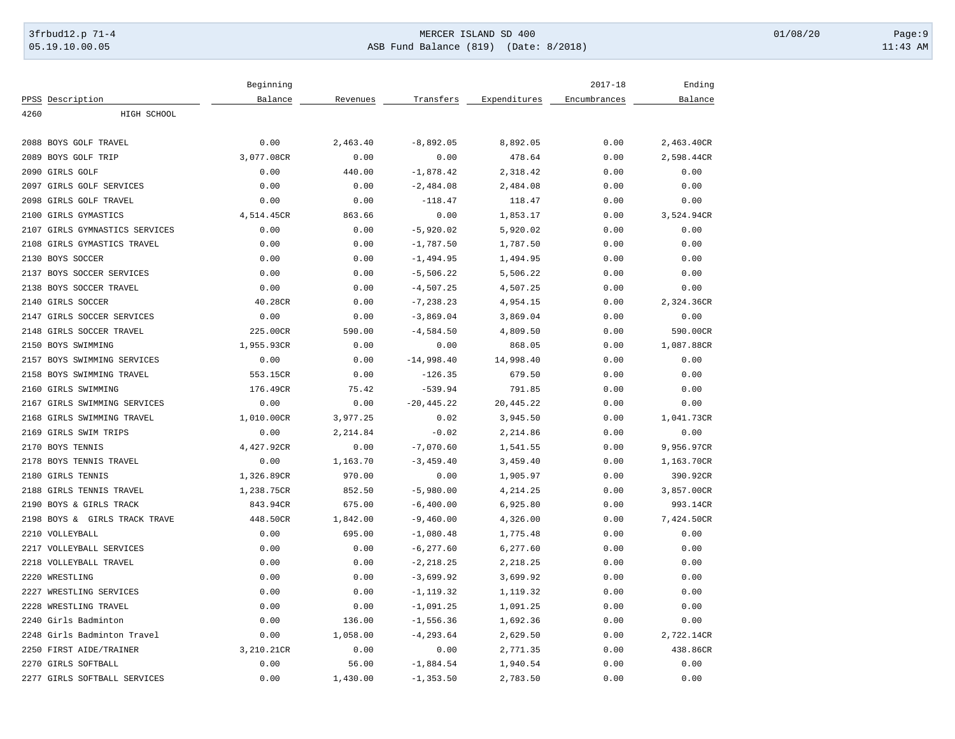# 3frbud12.p 71-4 **Details and the CER ISLAND SD 400** MERCER ISLAND SD 400 01/08/20 Page:9 05.19.10.00.05 ASB Fund Balance (819) (Date: 8/2018) 11:43 AM

|      |                                | Beginning  |          |               |              | $2017 - 18$  | Ending     |
|------|--------------------------------|------------|----------|---------------|--------------|--------------|------------|
|      | PPSS Description               | Balance    | Revenues | Transfers     | Expenditures | Encumbrances | Balance    |
| 4260 | HIGH SCHOOL                    |            |          |               |              |              |            |
|      | 2088 BOYS GOLF TRAVEL          | 0.00       | 2,463.40 | $-8,892.05$   | 8,892.05     | 0.00         | 2,463.40CR |
|      | 2089 BOYS GOLF TRIP            | 3,077.08CR | 0.00     | 0.00          | 478.64       | 0.00         | 2,598.44CR |
|      | 2090 GIRLS GOLF                | 0.00       | 440.00   | $-1,878.42$   | 2,318.42     | 0.00         | 0.00       |
|      | 2097 GIRLS GOLF SERVICES       | 0.00       | 0.00     | $-2,484.08$   | 2,484.08     | 0.00         | 0.00       |
|      | 2098 GIRLS GOLF TRAVEL         | 0.00       | 0.00     | $-118.47$     | 118.47       | 0.00         | 0.00       |
|      | 2100 GIRLS GYMASTICS           | 4,514.45CR | 863.66   | 0.00          | 1,853.17     | 0.00         | 3,524.94CR |
|      | 2107 GIRLS GYMNASTICS SERVICES | 0.00       | 0.00     | $-5,920.02$   | 5,920.02     | 0.00         | 0.00       |
|      | 2108 GIRLS GYMASTICS TRAVEL    | 0.00       | 0.00     | $-1,787.50$   | 1,787.50     | 0.00         | 0.00       |
|      | 2130 BOYS SOCCER               | 0.00       | 0.00     | $-1, 494.95$  | 1,494.95     | 0.00         | 0.00       |
|      | 2137 BOYS SOCCER SERVICES      | 0.00       | 0.00     | $-5,506.22$   | 5,506.22     | 0.00         | 0.00       |
|      | 2138 BOYS SOCCER TRAVEL        | 0.00       | 0.00     | $-4,507.25$   | 4,507.25     | 0.00         | 0.00       |
|      | 2140 GIRLS SOCCER              | 40.28CR    | 0.00     | $-7, 238.23$  | 4,954.15     | 0.00         | 2,324.36CR |
|      | 2147 GIRLS SOCCER SERVICES     | 0.00       | 0.00     | $-3,869.04$   | 3,869.04     | 0.00         | 0.00       |
|      | 2148 GIRLS SOCCER TRAVEL       | 225.00CR   | 590.00   | $-4,584.50$   | 4,809.50     | 0.00         | 590.00CR   |
|      | 2150 BOYS SWIMMING             | 1,955.93CR | 0.00     | 0.00          | 868.05       | 0.00         | 1,087.88CR |
|      | 2157 BOYS SWIMMING SERVICES    | 0.00       | 0.00     | $-14,998.40$  | 14,998.40    | 0.00         | 0.00       |
|      | 2158 BOYS SWIMMING TRAVEL      | 553.15CR   | 0.00     | $-126.35$     | 679.50       | 0.00         | 0.00       |
|      | 2160 GIRLS SWIMMING            | 176.49CR   | 75.42    | $-539.94$     | 791.85       | 0.00         | 0.00       |
|      | 2167 GIRLS SWIMMING SERVICES   | 0.00       | 0.00     | $-20, 445.22$ | 20,445.22    | 0.00         | 0.00       |
|      | 2168 GIRLS SWIMMING TRAVEL     | 1,010.00CR | 3,977.25 | 0.02          | 3,945.50     | 0.00         | 1,041.73CR |
|      | 2169 GIRLS SWIM TRIPS          | 0.00       | 2,214.84 | $-0.02$       | 2,214.86     | 0.00         | 0.00       |
|      | 2170 BOYS TENNIS               | 4,427.92CR | 0.00     | $-7,070.60$   | 1,541.55     | 0.00         | 9,956.97CR |
|      | 2178 BOYS TENNIS TRAVEL        | 0.00       | 1,163.70 | $-3, 459.40$  | 3,459.40     | 0.00         | 1,163.70CR |
|      | 2180 GIRLS TENNIS              | 1,326.89CR | 970.00   | 0.00          | 1,905.97     | 0.00         | 390.92CR   |
|      | 2188 GIRLS TENNIS TRAVEL       | 1,238.75CR | 852.50   | $-5,980.00$   | 4,214.25     | 0.00         | 3,857.00CR |
|      | 2190 BOYS & GIRLS TRACK        | 843.94CR   | 675.00   | $-6,400.00$   | 6,925.80     | 0.00         | 993.14CR   |
|      | 2198 BOYS & GIRLS TRACK TRAVE  | 448.50CR   | 1,842.00 | $-9,460.00$   | 4,326.00     | 0.00         | 7,424.50CR |
|      | 2210 VOLLEYBALL                | 0.00       | 695.00   | $-1,080.48$   | 1,775.48     | 0.00         | 0.00       |
|      | 2217 VOLLEYBALL SERVICES       | 0.00       | 0.00     | $-6, 277.60$  | 6,277.60     | 0.00         | 0.00       |
|      | 2218 VOLLEYBALL TRAVEL         | 0.00       | 0.00     | $-2, 218.25$  | 2,218.25     | 0.00         | 0.00       |
|      | 2220 WRESTLING                 | 0.00       | 0.00     | $-3,699.92$   | 3,699.92     | 0.00         | 0.00       |
|      | 2227 WRESTLING SERVICES        | 0.00       | 0.00     | $-1, 119.32$  | 1,119.32     | 0.00         | 0.00       |
|      | 2228 WRESTLING TRAVEL          | 0.00       | 0.00     | $-1,091.25$   | 1,091.25     | 0.00         | 0.00       |
|      | 2240 Girls Badminton           | 0.00       | 136.00   | $-1,556.36$   | 1,692.36     | 0.00         | 0.00       |
|      | 2248 Girls Badminton Travel    | 0.00       | 1,058.00 | $-4, 293.64$  | 2,629.50     | 0.00         | 2,722.14CR |
|      | 2250 FIRST AIDE/TRAINER        | 3,210.21CR | 0.00     | 0.00          | 2,771.35     | 0.00         | 438.86CR   |
|      | 2270 GIRLS SOFTBALL            | 0.00       | 56.00    | $-1,884.54$   | 1,940.54     | 0.00         | 0.00       |
|      | 2277 GIRLS SOFTBALL SERVICES   | 0.00       | 1,430.00 | $-1, 353.50$  | 2,783.50     | 0.00         | 0.00       |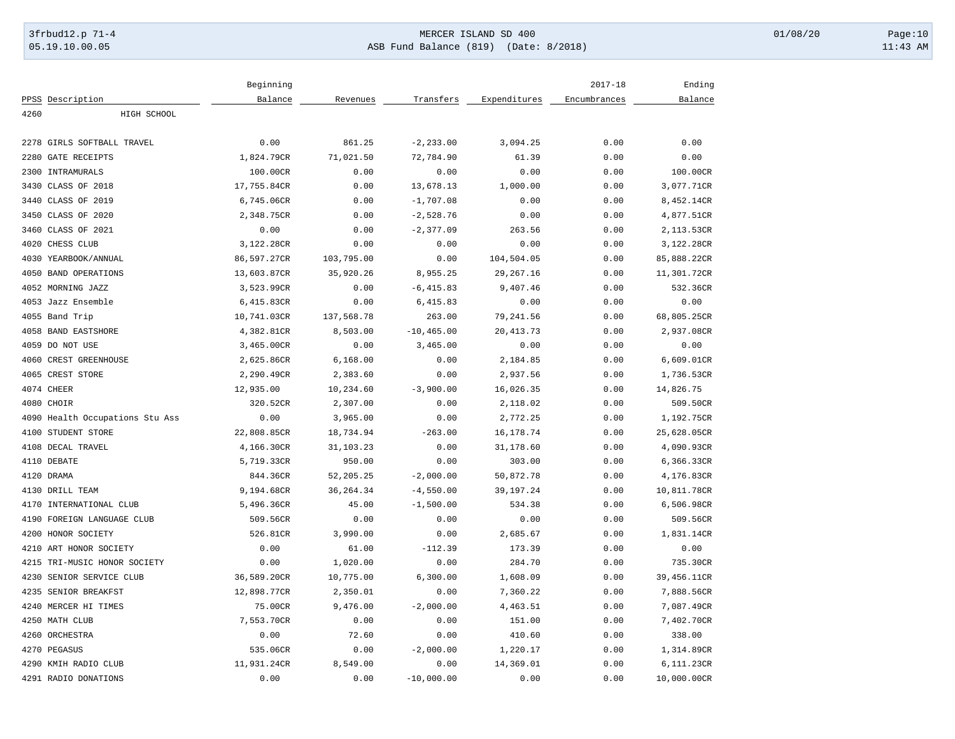# 3frbud12.p 71-4 **Details and the CER ISLAND SD 400** MERCER ISLAND SD 400 01/08/20 Page:10 05.19.10.00.05 ASB Fund Balance (819) (Date: 8/2018) 11:43 AM

|                        |                                 | Beginning   |            |               |              | $2017 - 18$  | Ending      |
|------------------------|---------------------------------|-------------|------------|---------------|--------------|--------------|-------------|
| PPSS Description       |                                 | Balance     | Revenues   | Transfers     | Expenditures | Encumbrances | Balance     |
| 4260                   | HIGH SCHOOL                     |             |            |               |              |              |             |
|                        |                                 |             |            |               |              |              |             |
| 2278                   | GIRLS SOFTBALL TRAVEL           | 0.00        | 861.25     | $-2, 233.00$  | 3,094.25     | 0.00         | 0.00        |
| 2280                   | <b>GATE RECEIPTS</b>            | 1,824.79CR  | 71,021.50  | 72,784.90     | 61.39        | 0.00         | 0.00        |
| 2300 INTRAMURALS       |                                 | 100.00CR    | 0.00       | 0.00          | 0.00         | 0.00         | 100.00CR    |
| 3430 CLASS OF 2018     |                                 | 17,755.84CR | 0.00       | 13,678.13     | 1,000.00     | 0.00         | 3,077.71CR  |
| 3440 CLASS OF 2019     |                                 | 6,745.06CR  | 0.00       | $-1,707.08$   | 0.00         | 0.00         | 8,452.14CR  |
| 3450 CLASS OF 2020     |                                 | 2,348.75CR  | 0.00       | $-2,528.76$   | 0.00         | 0.00         | 4,877.51CR  |
| 3460 CLASS OF 2021     |                                 | 0.00        | 0.00       | $-2, 377.09$  | 263.56       | 0.00         | 2,113.53CR  |
| 4020<br>CHESS CLUB     |                                 | 3,122.28CR  | 0.00       | 0.00          | 0.00         | 0.00         | 3,122.28CR  |
| 4030 YEARBOOK/ANNUAL   |                                 | 86,597.27CR | 103,795.00 | 0.00          | 104,504.05   | 0.00         | 85,888.22CR |
| 4050                   | <b>BAND OPERATIONS</b>          | 13,603.87CR | 35,920.26  | 8,955.25      | 29, 267. 16  | 0.00         | 11,301.72CR |
| 4052 MORNING JAZZ      |                                 | 3,523.99CR  | 0.00       | $-6, 415.83$  | 9,407.46     | 0.00         | 532.36CR    |
| 4053 Jazz Ensemble     |                                 | 6,415.83CR  | 0.00       | 6,415.83      | 0.00         | 0.00         | 0.00        |
| 4055 Band Trip         |                                 | 10,741.03CR | 137,568.78 | 263.00        | 79,241.56    | 0.00         | 68,805.25CR |
| 4058 BAND EASTSHORE    |                                 | 4,382.81CR  | 8,503.00   | $-10, 465.00$ | 20, 413.73   | 0.00         | 2,937.08CR  |
| 4059 DO NOT USE        |                                 | 3,465.00CR  | 0.00       | 3,465.00      | 0.00         | 0.00         | 0.00        |
| 4060 CREST GREENHOUSE  |                                 | 2,625.86CR  | 6,168.00   | 0.00          | 2,184.85     | 0.00         | 6,609.01CR  |
| 4065 CREST STORE       |                                 | 2,290.49CR  | 2,383.60   | 0.00          | 2,937.56     | 0.00         | 1,736.53CR  |
| 4074 CHEER             |                                 | 12,935.00   | 10,234.60  | $-3,900.00$   | 16,026.35    | 0.00         | 14,826.75   |
| 4080 CHOIR             |                                 | 320.52CR    | 2,307.00   | 0.00          | 2,118.02     | 0.00         | 509.50CR    |
|                        | 4090 Health Occupations Stu Ass | 0.00        | 3,965.00   | 0.00          | 2,772.25     | 0.00         | 1,192.75CR  |
| STUDENT STORE<br>4100  |                                 | 22,808.85CR | 18,734.94  | $-263.00$     | 16, 178.74   | 0.00         | 25,628.05CR |
| 4108 DECAL TRAVEL      |                                 | 4,166.30CR  | 31,103.23  | 0.00          | 31,178.60    | 0.00         | 4,090.93CR  |
| 4110 DEBATE            |                                 | 5,719.33CR  | 950.00     | 0.00          | 303.00       | 0.00         | 6,366.33CR  |
| 4120 DRAMA             |                                 | 844.36CR    | 52,205.25  | $-2,000.00$   | 50,872.78    | 0.00         | 4,176.83CR  |
|                        |                                 |             |            |               |              |              |             |
| 4130 DRILL TEAM        |                                 | 9,194.68CR  | 36, 264.34 | $-4,550.00$   | 39, 197. 24  | 0.00         | 10,811.78CR |
|                        | 4170 INTERNATIONAL CLUB         | 5,496.36CR  | 45.00      | $-1,500.00$   | 534.38       | 0.00         | 6,506.98CR  |
|                        | 4190 FOREIGN LANGUAGE CLUB      | 509.56CR    | 0.00       | 0.00          | 0.00         | 0.00         | 509.56CR    |
| 4200 HONOR SOCIETY     |                                 | 526.81CR    | 3,990.00   | 0.00          | 2,685.67     | 0.00         | 1,831.14CR  |
| 4210 ART HONOR SOCIETY |                                 | 0.00        | 61.00      | $-112.39$     | 173.39       | 0.00         | 0.00        |
|                        | 4215 TRI-MUSIC HONOR SOCIETY    | 0.00        | 1,020.00   | 0.00          | 284.70       | 0.00         | 735.30CR    |
| 4230                   | SENIOR SERVICE CLUB             | 36,589.20CR | 10,775.00  | 6,300.00      | 1,608.09     | 0.00         | 39,456.11CR |
| 4235 SENIOR BREAKFST   |                                 | 12,898.77CR | 2,350.01   | 0.00          | 7,360.22     | 0.00         | 7,888.56CR  |
| 4240 MERCER HI TIMES   |                                 | 75.00CR     | 9,476.00   | $-2,000.00$   | 4,463.51     | 0.00         | 7,087.49CR  |
| 4250 MATH CLUB         |                                 | 7,553.70CR  | 0.00       | 0.00          | 151.00       | 0.00         | 7,402.70CR  |
| 4260 ORCHESTRA         |                                 | 0.00        | 72.60      | 0.00          | 410.60       | 0.00         | 338.00      |
| 4270 PEGASUS           |                                 | 535.06CR    | 0.00       | $-2,000.00$   | 1,220.17     | 0.00         | 1,314.89CR  |
| 4290 KMIH RADIO CLUB   |                                 | 11,931.24CR | 8,549.00   | 0.00          | 14,369.01    | 0.00         | 6,111.23CR  |
| 4291 RADIO DONATIONS   |                                 | 0.00        | 0.00       | $-10,000.00$  | 0.00         | 0.00         | 10,000.00CR |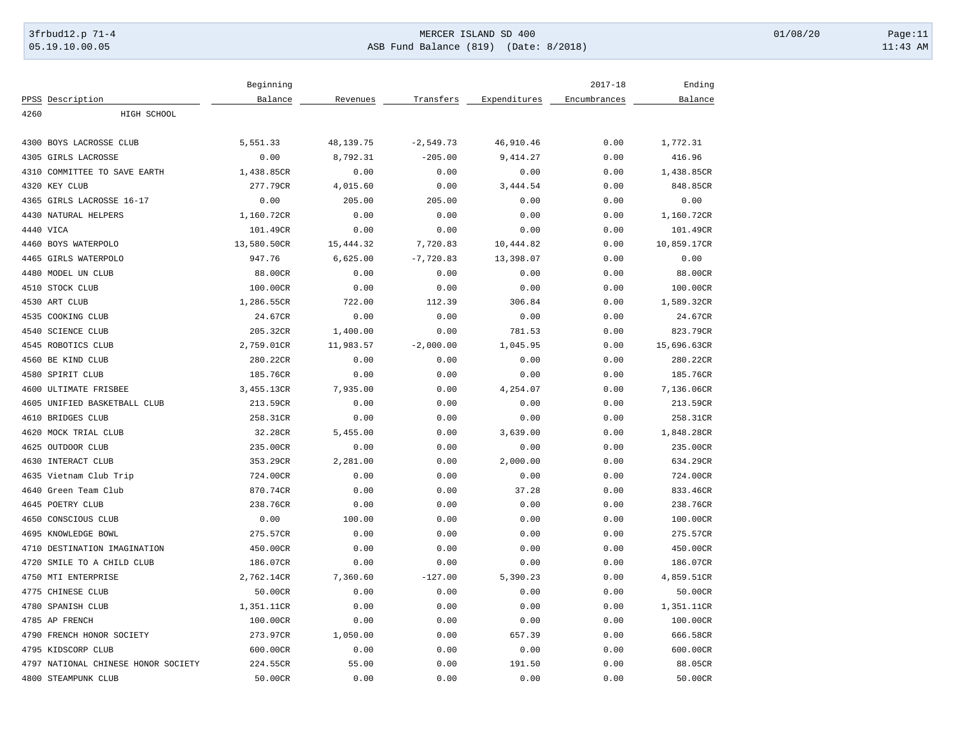# 3frbud12.p 71-4 **Details and the CER ISLAND SD 400** MERCER ISLAND SD 400 01/08/20 Page:11 05.19.10.00.05 ASB Fund Balance (819) (Date: 8/2018) 11:43 AM

|      |                                     | Beginning   |           |             |              | $2017 - 18$  | Ending      |
|------|-------------------------------------|-------------|-----------|-------------|--------------|--------------|-------------|
|      | PPSS Description                    | Balance     | Revenues  | Transfers   | Expenditures | Encumbrances | Balance     |
| 4260 | HIGH SCHOOL                         |             |           |             |              |              |             |
|      | 4300 BOYS LACROSSE CLUB             | 5,551.33    | 48,139.75 | $-2,549.73$ | 46,910.46    | 0.00         | 1,772.31    |
|      | 4305 GIRLS LACROSSE                 | 0.00        | 8,792.31  | $-205.00$   | 9,414.27     | 0.00         | 416.96      |
|      | 4310 COMMITTEE TO SAVE EARTH        | 1,438.85CR  | 0.00      | 0.00        | 0.00         | 0.00         | 1,438.85CR  |
|      |                                     |             |           |             |              |              |             |
|      | 4320 KEY CLUB                       | 277.79CR    | 4,015.60  | 0.00        | 3,444.54     | 0.00         | 848.85CR    |
|      | 4365 GIRLS LACROSSE 16-17           | 0.00        | 205.00    | 205.00      | 0.00         | 0.00         | 0.00        |
|      | 4430 NATURAL HELPERS                | 1,160.72CR  | 0.00      | 0.00        | 0.00         | 0.00         | 1,160.72CR  |
|      | 4440 VICA                           | 101.49CR    | 0.00      | 0.00        | 0.00         | 0.00         | 101.49CR    |
|      | 4460 BOYS WATERPOLO                 | 13,580.50CR | 15,444.32 | 7,720.83    | 10,444.82    | 0.00         | 10,859.17CR |
|      | 4465 GIRLS WATERPOLO                | 947.76      | 6,625.00  | $-7,720.83$ | 13,398.07    | 0.00         | 0.00        |
|      | 4480 MODEL UN CLUB                  | 88.00CR     | 0.00      | 0.00        | 0.00         | 0.00         | 88.00CR     |
|      | 4510 STOCK CLUB                     | 100.00CR    | 0.00      | 0.00        | 0.00         | 0.00         | 100.00CR    |
|      | 4530 ART CLUB                       | 1,286.55CR  | 722.00    | 112.39      | 306.84       | 0.00         | 1,589.32CR  |
|      | 4535 COOKING CLUB                   | 24.67CR     | 0.00      | 0.00        | 0.00         | 0.00         | 24.67CR     |
|      | 4540 SCIENCE CLUB                   | 205.32CR    | 1,400.00  | 0.00        | 781.53       | 0.00         | 823.79CR    |
|      | 4545 ROBOTICS CLUB                  | 2,759.01CR  | 11,983.57 | $-2,000.00$ | 1,045.95     | 0.00         | 15,696.63CR |
|      | 4560 BE KIND CLUB                   | 280.22CR    | 0.00      | 0.00        | 0.00         | 0.00         | 280.22CR    |
|      | 4580 SPIRIT CLUB                    | 185.76CR    | 0.00      | 0.00        | 0.00         | 0.00         | 185.76CR    |
|      | 4600 ULTIMATE FRISBEE               | 3,455.13CR  | 7,935.00  | 0.00        | 4,254.07     | 0.00         | 7,136.06CR  |
|      | 4605 UNIFIED BASKETBALL CLUB        | 213.59CR    | 0.00      | 0.00        | 0.00         | 0.00         | 213.59CR    |
|      | 4610 BRIDGES CLUB                   | 258.31CR    | 0.00      | 0.00        | 0.00         | 0.00         | 258.31CR    |
|      | 4620 MOCK TRIAL CLUB                | 32.28CR     | 5,455.00  | 0.00        | 3,639.00     | 0.00         | 1,848.28CR  |
|      | 4625 OUTDOOR CLUB                   | 235.00CR    | 0.00      | 0.00        | 0.00         | 0.00         | 235.00CR    |
|      | 4630 INTERACT CLUB                  | 353.29CR    | 2,281.00  | 0.00        | 2,000.00     | 0.00         | 634.29CR    |
|      | 4635 Vietnam Club Trip              | 724.00CR    | 0.00      | 0.00        | 0.00         | 0.00         | 724.00CR    |
|      | 4640 Green Team Club                | 870.74CR    | 0.00      | 0.00        | 37.28        | 0.00         | 833.46CR    |
|      | 4645 POETRY CLUB                    | 238.76CR    | 0.00      | 0.00        | 0.00         | 0.00         | 238.76CR    |
|      | 4650 CONSCIOUS CLUB                 | 0.00        | 100.00    | 0.00        | 0.00         | 0.00         | 100.00CR    |
|      | 4695 KNOWLEDGE BOWL                 | 275.57CR    | 0.00      | 0.00        | 0.00         | 0.00         | 275.57CR    |
|      | 4710 DESTINATION IMAGINATION        | 450.00CR    | 0.00      | 0.00        | 0.00         | 0.00         | 450.00CR    |
|      | 4720 SMILE TO A CHILD CLUB          | 186.07CR    | 0.00      | 0.00        | 0.00         | 0.00         | 186.07CR    |
|      | 4750 MTI ENTERPRISE                 | 2,762.14CR  | 7,360.60  | $-127.00$   | 5,390.23     | 0.00         | 4,859.51CR  |
|      | 4775 CHINESE CLUB                   | 50.00CR     | 0.00      | 0.00        | 0.00         | 0.00         | 50.00CR     |
|      | 4780 SPANISH CLUB                   | 1,351.11CR  | 0.00      | 0.00        | 0.00         | 0.00         | 1,351.11CR  |
|      | 4785 AP FRENCH                      | 100.00CR    | 0.00      | 0.00        | 0.00         | 0.00         | 100.00CR    |
|      | 4790 FRENCH HONOR SOCIETY           | 273.97CR    | 1,050.00  | 0.00        | 657.39       | 0.00         | 666.58CR    |
|      | 4795 KIDSCORP CLUB                  | 600.00CR    | 0.00      | 0.00        | 0.00         | 0.00         | 600.00CR    |
|      | 4797 NATIONAL CHINESE HONOR SOCIETY | 224.55CR    | 55.00     | 0.00        | 191.50       | 0.00         | 88.05CR     |
|      | 4800 STEAMPUNK CLUB                 | 50.00CR     | 0.00      | 0.00        | 0.00         | 0.00         | 50.00CR     |